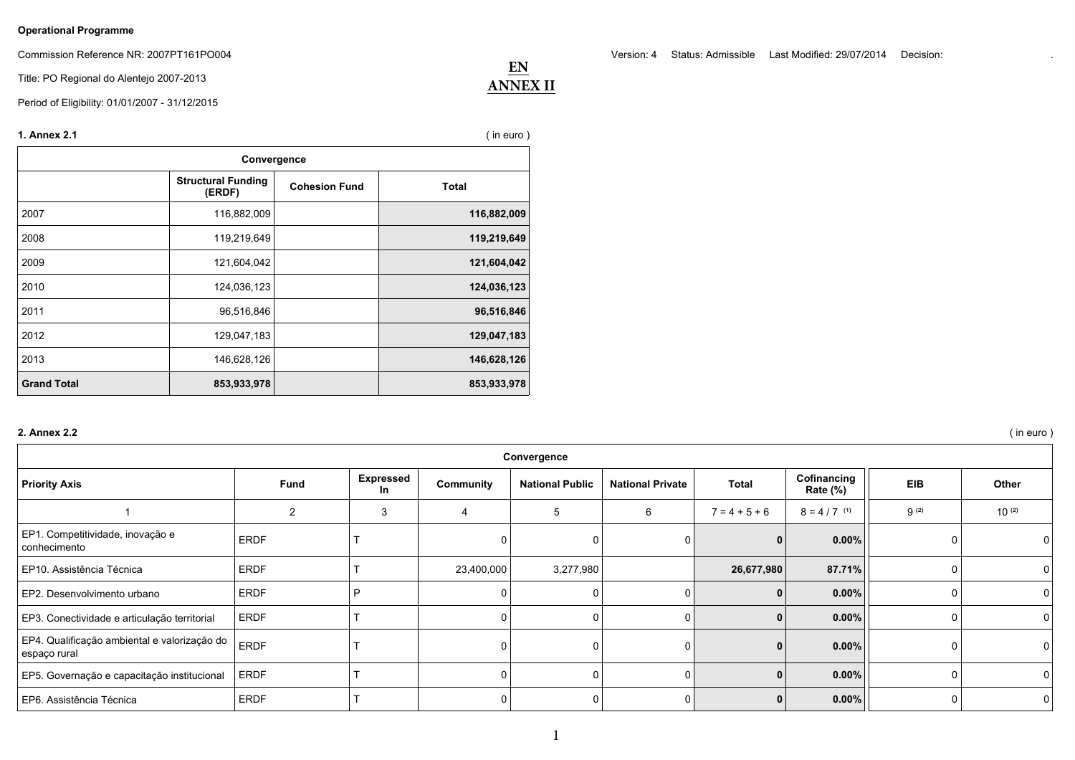## **Operational Programme**

Commission Reference NR: 2007PT161PO004

Title: PO Regional do Alentejo 2007-2013

Period of Eligibility: 01/01/2007 - 31/12/2015

| 1. Annex 2.1<br>$($ in euro $)$<br>Convergence |             |  |             |  |  |  |  |  |
|------------------------------------------------|-------------|--|-------------|--|--|--|--|--|
|                                                |             |  |             |  |  |  |  |  |
| 2007                                           | 116,882,009 |  | 116,882,009 |  |  |  |  |  |
| 2008                                           | 119,219,649 |  | 119,219,649 |  |  |  |  |  |
| 2009                                           | 121,604,042 |  | 121,604,042 |  |  |  |  |  |
| 2010                                           | 124,036,123 |  | 124,036,123 |  |  |  |  |  |
| 2011                                           | 96,516,846  |  | 96,516,846  |  |  |  |  |  |
| 2012                                           | 129,047,183 |  | 129,047,183 |  |  |  |  |  |
| 2013                                           | 146,628,126 |  | 146,628,126 |  |  |  |  |  |
| <b>Grand Total</b>                             | 853,933,978 |  | 853,933,978 |  |  |  |  |  |

## **2. Annex 2.2** ( in euro )

| Convergence                                                  |                |                        |                |                        |                         |                 |                         |            |            |
|--------------------------------------------------------------|----------------|------------------------|----------------|------------------------|-------------------------|-----------------|-------------------------|------------|------------|
| <b>Priority Axis</b>                                         | <b>Fund</b>    | <b>Expressed</b><br>In | Community      | <b>National Public</b> | <b>National Private</b> | Total           | Cofinancing<br>Rate (%) | <b>EIB</b> | Other      |
|                                                              | $\overline{2}$ | 3                      | $\overline{4}$ | 5                      | 6                       | $7 = 4 + 5 + 6$ | $8 = 4 / 7$ (1)         | $9^{(2)}$  | $10^{(2)}$ |
| EP1. Competitividade, inovação e<br>conhecimento             | <b>ERDF</b>    |                        |                |                        |                         |                 | $0.00\%$                |            |            |
| EP10. Assistência Técnica                                    | <b>ERDF</b>    |                        | 23,400,000     | 3,277,980              |                         | 26,677,980      | 87.71%                  |            |            |
| EP2. Desenvolvimento urbano                                  | <b>ERDF</b>    | D                      |                |                        |                         |                 | $0.00\%$                | $\Omega$   |            |
| EP3. Conectividade e articulação territorial                 | <b>ERDF</b>    |                        |                |                        |                         |                 | $0.00\%$                |            |            |
| EP4. Qualificação ambiental e valorização do<br>espaço rural | <b>ERDF</b>    |                        |                |                        |                         |                 | $0.00\%$                |            |            |
| EP5. Governação e capacitação institucional                  | <b>ERDF</b>    |                        |                |                        |                         |                 | 0.00%                   |            |            |
| EP6. Assistência Técnica                                     | <b>ERDF</b>    |                        |                | 0                      |                         |                 | $0.00\%$                | 0          |            |

 **EN ANNEX II** Version: 4 Status: Admissible Last Modified: 29/07/2014 Decision: